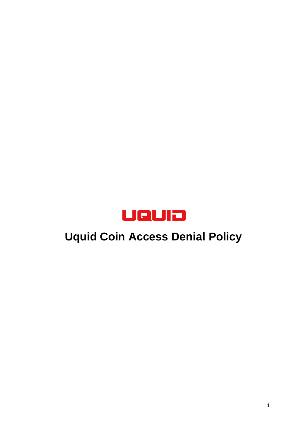

# **Uquid Coin Access Denial Policy**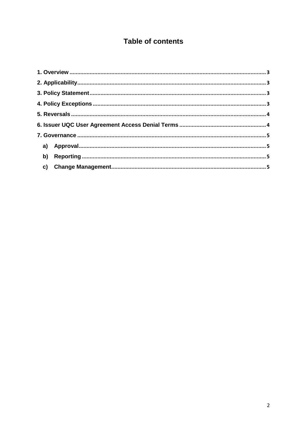# **Table of contents**

| b) |  |  |
|----|--|--|
|    |  |  |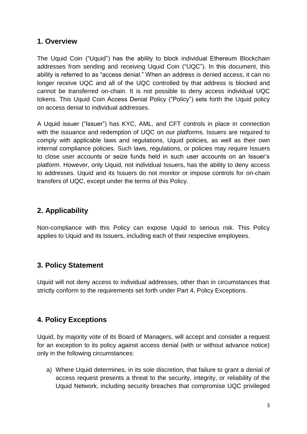## **1. Overview**

<span id="page-2-0"></span>The Uquid Coin ("Uquid") has the ability to block individual Ethereum Blockchain addresses from sending and receiving Uquid Coin ("UQC"). In this document, this ability is referred to as "access denial." When an address is denied access, it can no longer receive UQC and all of the UQC controlled by that address is blocked and cannot be transferred on-chain. It is not possible to deny access individual UQC tokens. This Uquid Coin Access Denial Policy ("Policy") sets forth the Uquid policy on access denial to individual addresses.

A Uquid issuer ("Issuer") has KYC, AML, and CFT controls in place in connection with the issuance and redemption of UQC on our platforms. Issuers are required to comply with applicable laws and regulations, Uquid policies, as well as their own internal compliance policies. Such laws, regulations, or policies may require Issuers to close user accounts or seize funds held in such user accounts on an Issuer's platform. However, only Uquid, not individual Issuers, has the ability to deny access to addresses. Uquid and its Issuers do not monitor or impose controls for on-chain transfers of UQC, except under the terms of this Policy.

# <span id="page-2-1"></span>**2. Applicability**

Non-compliance with this Policy can expose Uquid to serious risk. This Policy applies to Uquid and its Issuers, including each of their respective employees.

## <span id="page-2-2"></span>**3. Policy Statement**

Uquid will not deny access to individual addresses, other than in circumstances that strictly conform to the requirements set forth under Part 4, Policy Exceptions.

## <span id="page-2-3"></span>**4. Policy Exceptions**

Uquid, by majority vote of its Board of Managers, will accept and consider a request for an exception to its policy against access denial (with or without advance notice) only in the following circumstances:

a) Where Uquid determines, in its sole discretion, that failure to grant a denial of access request presents a threat to the security, integrity, or reliability of the Uquid Network, including security breaches that compromise UQC privileged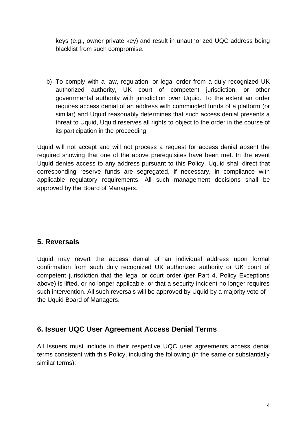keys (e.g., owner private key) and result in unauthorized UQC address being blacklist from such compromise.

b) To comply with a law, regulation, or legal order from a duly recognized UK authorized authority, UK court of competent jurisdiction, or other governmental authority with jurisdiction over Uquid. To the extent an order requires access denial of an address with commingled funds of a platform (or similar) and Uquid reasonably determines that such access denial presents a threat to Uquid, Uquid reserves all rights to object to the order in the course of its participation in the proceeding.

Uquid will not accept and will not process a request for access denial absent the required showing that one of the above prerequisites have been met. In the event Uquid denies access to any address pursuant to this Policy, Uquid shall direct that corresponding reserve funds are segregated, if necessary, in compliance with applicable regulatory requirements. All such management decisions shall be approved by the Board of Managers.

## <span id="page-3-0"></span>**5. Reversals**

Uquid may revert the access denial of an individual address upon formal confirmation from such duly recognized UK authorized authority or UK court of competent jurisdiction that the legal or court order (per Part 4, Policy Exceptions above) is lifted, or no longer applicable, or that a security incident no longer requires such intervention. All such reversals will be approved by Uquid by a majority vote of the Uquid Board of Managers.

## <span id="page-3-1"></span>**6. Issuer UQC User Agreement Access Denial Terms**

All Issuers must include in their respective UQC user agreements access denial terms consistent with this Policy, including the following (in the same or substantially similar terms):